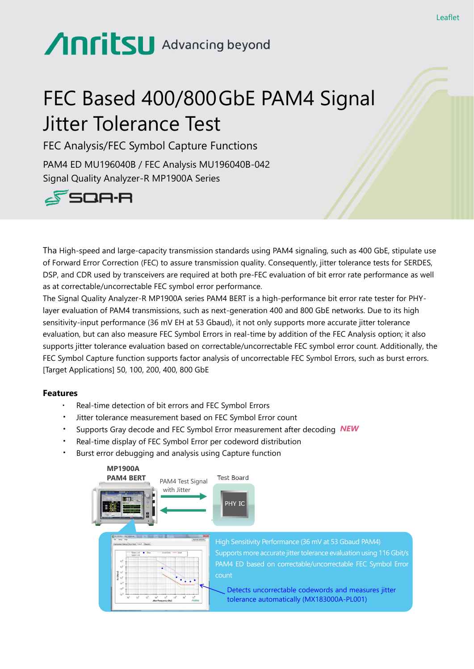# **Anritsu** Advancing beyond

## FEC Based 400/800GbE PAM4 Signal Jitter Tolerance Test

FEC Analysis/FEC Symbol Capture Functions

PAM4 ED MU196040B / FEC Analysis MU196040B-042 Signal Quality Analyzer-R MP1900A Series



Tha High-speed and large-capacity transmission standards using PAM4 signaling, such as 400 GbE, stipulate use of Forward Error Correction (FEC) to assure transmission quality. Consequently, jitter tolerance tests for SERDES, DSP, and CDR used by transceivers are required at both pre-FEC evaluation of bit error rate performance as well as at correctable/uncorrectable FEC symbol error performance.

The Signal Quality Analyzer-R MP1900A series PAM4 BERT is a high-performance bit error rate tester for PHYlayer evaluation of PAM4 transmissions, such as next-generation 400 and 800 GbE networks. Due to its high sensitivity-input performance (36 mV EH at 53 Gbaud), it not only supports more accurate jitter tolerance evaluation, but can also measure FEC Symbol Errors in real-time by addition of the FEC Analysis option; it also supports jitter tolerance evaluation based on correctable/uncorrectable FEC symbol error count. Additionally, the FEC Symbol Capture function supports factor analysis of uncorrectable FEC Symbol Errors, such as burst errors. [Target Applications] 50, 100, 200, 400, 800 GbE

#### **Features**

- Real-time detection of bit errors and FEC Symbol Errors
- Jitter tolerance measurement based on FEC Symbol Error count
- ・ Supports Gray decode and FEC Symbol Error measurement after decoding *NEW*
- Real-time display of FEC Symbol Error per codeword distribution
- Burst error debugging and analysis using Capture function